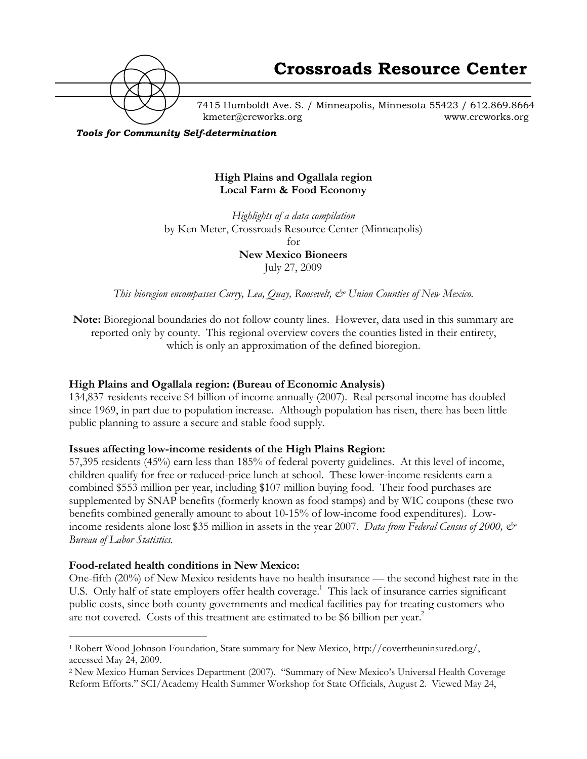

7415 Humboldt Ave. S. / Minneapolis, Minnesota 55423 / 612.869.8664 kmeter@crcworks.org www.crcworks.org

*Tools for Community Self-determination*

## **High Plains and Ogallala region Local Farm & Food Economy**

*Highlights of a data compilation* by Ken Meter, Crossroads Resource Center (Minneapolis) for **New Mexico Bioneers** July 27, 2009

*This bioregion encompasses Curry, Lea, Quay, Roosevelt, & Union Counties of New Mexico.*

**Note:** Bioregional boundaries do not follow county lines. However, data used in this summary are reported only by county. This regional overview covers the counties listed in their entirety, which is only an approximation of the defined bioregion.

## **High Plains and Ogallala region: (Bureau of Economic Analysis)**

134,837 residents receive \$4 billion of income annually (2007). Real personal income has doubled since 1969, in part due to population increase. Although population has risen, there has been little public planning to assure a secure and stable food supply.

## **Issues affecting low-income residents of the High Plains Region:**

57,395 residents (45%) earn less than 185% of federal poverty guidelines. At this level of income, children qualify for free or reduced-price lunch at school. These lower-income residents earn a combined \$553 million per year, including \$107 million buying food. Their food purchases are supplemented by SNAP benefits (formerly known as food stamps) and by WIC coupons (these two benefits combined generally amount to about 10-15% of low-income food expenditures). Lowincome residents alone lost \$35 million in assets in the year 2007. *Data from Federal Census of 2000, & Bureau of Labor Statistics.*

#### **Food-related health conditions in New Mexico:**

One-fifth (20%) of New Mexico residents have no health insurance — the second highest rate in the U.S. Only half of state employers offer health coverage.<sup>1</sup> This lack of insurance carries significant public costs, since both county governments and medical facilities pay for treating customers who are not covered. Costs of this treatment are estimated to be \$6 billion per year.<sup>2</sup>

 <sup>1</sup> Robert Wood Johnson Foundation, State summary for New Mexico, http://covertheuninsured.org/, accessed May 24, 2009.

<sup>2</sup> New Mexico Human Services Department (2007). "Summary of New Mexico's Universal Health Coverage Reform Efforts." SCI/Academy Health Summer Workshop for State Officials, August 2. Viewed May 24,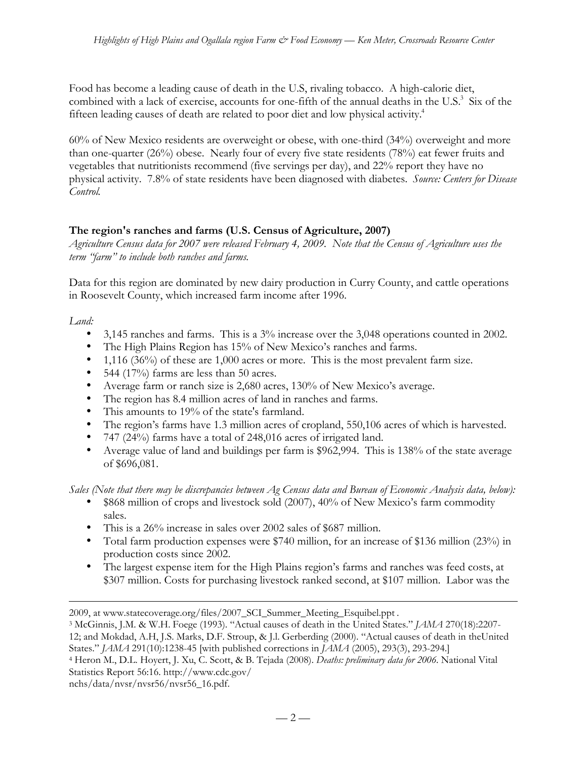Food has become a leading cause of death in the U.S, rivaling tobacco. A high-calorie diet, combined with a lack of exercise, accounts for one-fifth of the annual deaths in the U.S.<sup>3</sup> Six of the fifteen leading causes of death are related to poor diet and low physical activity.<sup>4</sup>

60% of New Mexico residents are overweight or obese, with one-third (34%) overweight and more than one-quarter (26%) obese. Nearly four of every five state residents (78%) eat fewer fruits and vegetables that nutritionists recommend (five servings per day), and 22% report they have no physical activity. 7.8% of state residents have been diagnosed with diabetes. *Source: Centers for Disease Control.*

## **The region's ranches and farms (U.S. Census of Agriculture, 2007)**

*Agriculture Census data for 2007 were released February 4, 2009. Note that the Census of Agriculture uses the term "farm" to include both ranches and farms.*

Data for this region are dominated by new dairy production in Curry County, and cattle operations in Roosevelt County, which increased farm income after 1996.

*Land:*

 $\overline{a}$ 

3,145 ranches and farms. This is a 3% increase over the 3,048 operations counted in 2002. The High Plains Region has 15% of New Mexico's ranches and farms.

1,116 (36%) of these are 1,000 acres or more. This is the most prevalent farm size.

544 (17%) farms are less than 50 acres.

Average farm or ranch size is 2,680 acres, 130% of New Mexico's average.

The region has 8.4 million acres of land in ranches and farms.

This amounts to 19% of the state's farmland.

The region's farms have 1.3 million acres of cropland, 550,106 acres of which is harvested. 747 (24%) farms have a total of 248,016 acres of irrigated land.

Average value of land and buildings per farm is \$962,994. This is 138% of the state average of \$696,081.

*Sales (Note that there may be discrepancies between Ag Census data and Bureau of Economic Analysis data, below):* \$868 million of crops and livestock sold (2007), 40% of New Mexico's farm commodity sales.

This is a 26% increase in sales over 2002 sales of \$687 million.

Total farm production expenses were \$740 million, for an increase of \$136 million (23%) in production costs since 2002.

The largest expense item for the High Plains region's farms and ranches was feed costs, at \$307 million. Costs for purchasing livestock ranked second, at \$107 million. Labor was the

States." *JAMA* 291(10):1238-45 [with published corrections in *JAMA* (2005), 293(3), 293-294.]

```
4 Heron M., D.L. Hoyert, J. Xu, C. Scott, & B. Tejada (2008). Deaths: preliminary data for 2006. National Vital
Statistics Report 56:16. http://www.cdc.gov/
```
nchs/data/nvsr/nvsr56/nvsr56\_16.pdf.

<sup>2009,</sup> at www.statecoverage.org/files/2007\_SCI\_Summer\_Meeting\_Esquibel.ppt .

<sup>3</sup> McGinnis, J.M. & W.H. Foege (1993). "Actual causes of death in the United States." *JAMA* 270(18):2207- 12; and Mokdad, A.H, J.S. Marks, D.F. Stroup, & J.l. Gerberding (2000). "Actual causes of death in theUnited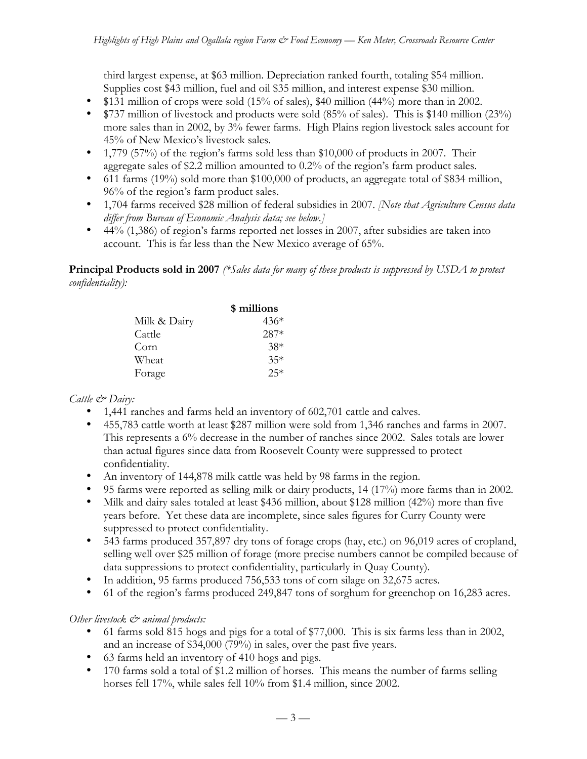third largest expense, at \$63 million. Depreciation ranked fourth, totaling \$54 million. Supplies cost \$43 million, fuel and oil \$35 million, and interest expense \$30 million. \$131 million of crops were sold (15% of sales), \$40 million (44%) more than in 2002. \$737 million of livestock and products were sold (85% of sales). This is \$140 million (23%) more sales than in 2002, by 3% fewer farms. High Plains region livestock sales account for 45% of New Mexico's livestock sales.

1,779 (57%) of the region's farms sold less than \$10,000 of products in 2007. Their aggregate sales of \$2.2 million amounted to 0.2% of the region's farm product sales. 611 farms (19%) sold more than \$100,000 of products, an aggregate total of \$834 million, 96% of the region's farm product sales.

1,704 farms received \$28 million of federal subsidies in 2007. *[Note that Agriculture Census data differ from Bureau of Economic Analysis data; see below.]*

44% (1,386) of region's farms reported net losses in 2007, after subsidies are taken into account. This is far less than the New Mexico average of 65%.

**Principal Products sold in 2007** *(\*Sales data for many of these products is suppressed by USDA to protect confidentiality):*

|              | \$ millions |
|--------------|-------------|
| Milk & Dairy | $436*$      |
| Cattle       | $287*$      |
| Corn         | $38*$       |
| Wheat        | $35*$       |
| Forage       | $25*$       |

## *Cattle & Dairy:*

1,441 ranches and farms held an inventory of 602,701 cattle and calves.

455,783 cattle worth at least \$287 million were sold from 1,346 ranches and farms in 2007. This represents a 6% decrease in the number of ranches since 2002. Sales totals are lower than actual figures since data from Roosevelt County were suppressed to protect confidentiality.

An inventory of 144,878 milk cattle was held by 98 farms in the region.

95 farms were reported as selling milk or dairy products, 14 (17%) more farms than in 2002. Milk and dairy sales totaled at least \$436 million, about \$128 million (42%) more than five years before. Yet these data are incomplete, since sales figures for Curry County were suppressed to protect confidentiality.

543 farms produced 357,897 dry tons of forage crops (hay, etc.) on 96,019 acres of cropland, selling well over \$25 million of forage (more precise numbers cannot be compiled because of data suppressions to protect confidentiality, particularly in Quay County).

In addition, 95 farms produced 756,533 tons of corn silage on 32,675 acres.

61 of the region's farms produced 249,847 tons of sorghum for greenchop on 16,283 acres.

## *Other livestock*  $\mathcal{Q}$  *animal products:*

61 farms sold 815 hogs and pigs for a total of \$77,000. This is six farms less than in 2002, and an increase of \$34,000 (79%) in sales, over the past five years.

63 farms held an inventory of 410 hogs and pigs.

170 farms sold a total of \$1.2 million of horses. This means the number of farms selling horses fell 17%, while sales fell 10% from \$1.4 million, since 2002.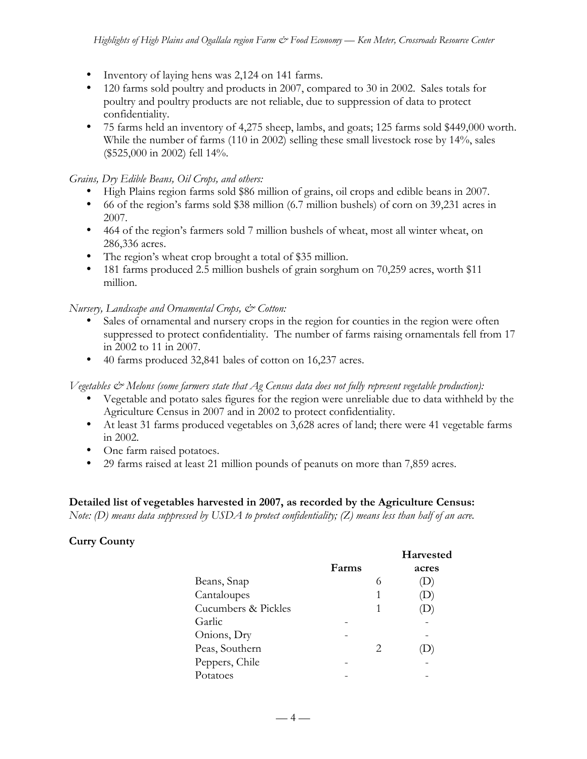Inventory of laying hens was 2,124 on 141 farms.

120 farms sold poultry and products in 2007, compared to 30 in 2002. Sales totals for poultry and poultry products are not reliable, due to suppression of data to protect confidentiality.

75 farms held an inventory of 4,275 sheep, lambs, and goats; 125 farms sold \$449,000 worth. While the number of farms (110 in 2002) selling these small livestock rose by 14%, sales (\$525,000 in 2002) fell 14%.

*Grains, Dry Edible Beans, Oil Crops, and others:*

High Plains region farms sold \$86 million of grains, oil crops and edible beans in 2007. 66 of the region's farms sold \$38 million (6.7 million bushels) of corn on 39,231 acres in 2007.

464 of the region's farmers sold 7 million bushels of wheat, most all winter wheat, on 286,336 acres.

The region's wheat crop brought a total of \$35 million.

181 farms produced 2.5 million bushels of grain sorghum on 70,259 acres, worth \$11 million.

*Nursery, Landscape and Ornamental Crops, & Cotton:*

Sales of ornamental and nursery crops in the region for counties in the region were often suppressed to protect confidentiality. The number of farms raising ornamentals fell from 17 in 2002 to 11 in 2007.

40 farms produced 32,841 bales of cotton on 16,237 acres.

*Vegetables & Melons (some farmers state that Ag Census data does not fully represent vegetable production):*

Vegetable and potato sales figures for the region were unreliable due to data withheld by the Agriculture Census in 2007 and in 2002 to protect confidentiality.

At least 31 farms produced vegetables on 3,628 acres of land; there were 41 vegetable farms in 2002.

One farm raised potatoes.

29 farms raised at least 21 million pounds of peanuts on more than 7,859 acres.

## **Detailed list of vegetables harvested in 2007, as recorded by the Agriculture Census:**

*Note: (D) means data suppressed by USDA to protect confidentiality; (Z) means less than half of an acre.*

## **Curry County**

|       |    | Harvested |
|-------|----|-----------|
| Farms |    | acres     |
|       | 6  |           |
|       |    |           |
|       |    |           |
|       |    |           |
|       |    |           |
|       | 2. |           |
|       |    |           |
|       |    |           |
|       |    |           |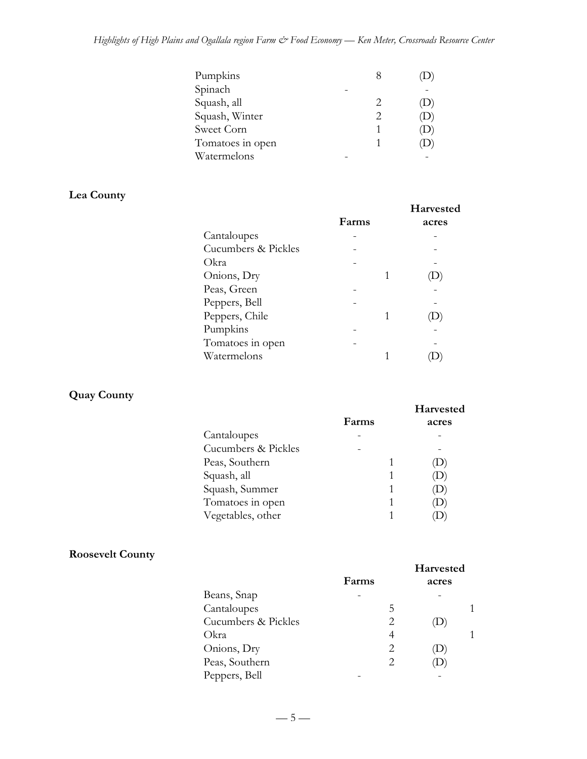| Pumpkins         | X |   |
|------------------|---|---|
| Spinach          |   |   |
| Squash, all      |   | D |
| Squash, Winter   |   | D |
| Sweet Corn       |   | D |
| Tomatoes in open |   | ν |
| Watermelons      |   |   |

# **Lea County**

|                     | Farms | <b>Harvested</b><br>acres |
|---------------------|-------|---------------------------|
| Cantaloupes         |       |                           |
| Cucumbers & Pickles |       |                           |
| Okra                |       |                           |
| Onions, Dry         |       |                           |
| Peas, Green         |       |                           |
| Peppers, Bell       |       |                           |
| Peppers, Chile      |       |                           |
| Pumpkins            |       |                           |
| Tomatoes in open    |       |                           |
| Watermelons         |       |                           |

# **Quay County**

|                     | Farms | Harvested<br>acres |
|---------------------|-------|--------------------|
| Cantaloupes         |       |                    |
| Cucumbers & Pickles |       |                    |
| Peas, Southern      |       |                    |
| Squash, all         |       |                    |
| Squash, Summer      |       |                    |
| Tomatoes in open    |       |                    |
| Vegetables, other   |       |                    |

## **Roosevelt County**

|                     |       | <b>Harvested</b> |  |
|---------------------|-------|------------------|--|
|                     | Farms | acres            |  |
| Beans, Snap         |       |                  |  |
| Cantaloupes         | 5     |                  |  |
| Cucumbers & Pickles | 2     |                  |  |
| Okra                | 4     |                  |  |
| Onions, Dry         | 2     | $\cup$           |  |
| Peas, Southern      | 2     |                  |  |
| Peppers, Bell       |       |                  |  |

 $-5-$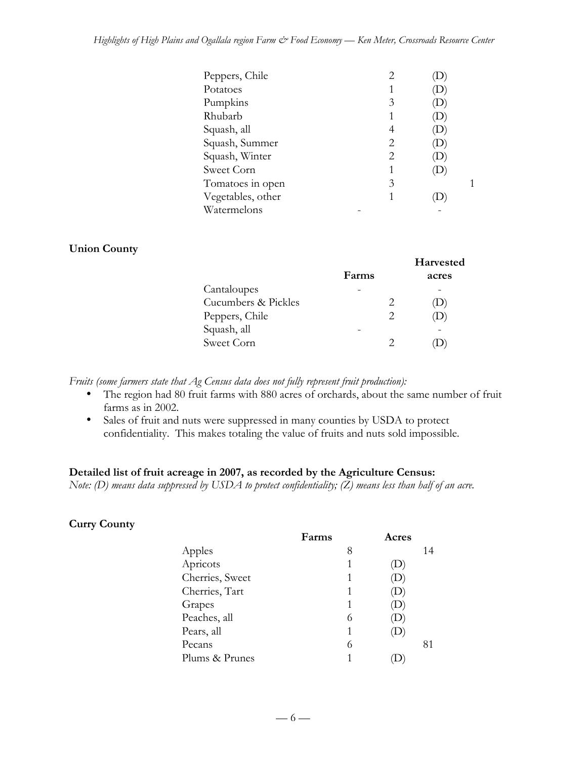#### *Highlights of High Plains and Ogallala region Farm & Food Economy — Ken Meter, Crossroads Resource Center*

| Peppers, Chile    |   |  |
|-------------------|---|--|
| Potatoes          |   |  |
| Pumpkins          | 3 |  |
| Rhubarb           |   |  |
| Squash, all       | 4 |  |
| Squash, Summer    | 2 |  |
| Squash, Winter    | 2 |  |
| Sweet Corn        |   |  |
| Tomatoes in open  | 3 |  |
| Vegetables, other | 1 |  |
| Watermelons       |   |  |

#### **Union County**

|                     |       | Harvested    |
|---------------------|-------|--------------|
|                     | Farms | acres        |
| Cantaloupes         |       |              |
| Cucumbers & Pickles |       | $\mathbf{D}$ |
| Peppers, Chile      | 2     |              |
| Squash, all         |       |              |
| Sweet Corn          |       |              |
|                     |       |              |

*Fruits (some farmers state that Ag Census data does not fully represent fruit production):*

The region had 80 fruit farms with 880 acres of orchards, about the same number of fruit farms as in 2002.

Sales of fruit and nuts were suppressed in many counties by USDA to protect confidentiality. This makes totaling the value of fruits and nuts sold impossible.

## **Detailed list of fruit acreage in 2007, as recorded by the Agriculture Census:**

*Note: (D) means data suppressed by USDA to protect confidentiality; (Z) means less than half of an acre.*

#### **Curry County**

|                 | Farms | Acres                      |    |
|-----------------|-------|----------------------------|----|
| Apples          | 8     |                            | 14 |
| Apricots        | 1     | $\left( \mathrm{L}\right)$ |    |
| Cherries, Sweet | 1     | $\mathbf{D}$               |    |
| Cherries, Tart  | 1     | $\mathbf{D}$               |    |
| Grapes          | 1     | $\left( \mathrm{L}\right)$ |    |
| Peaches, all    | 6     |                            |    |
| Pears, all      | 1     | D                          |    |
| Pecans          | 6     |                            | 81 |
| Plums & Prunes  |       |                            |    |
|                 |       |                            |    |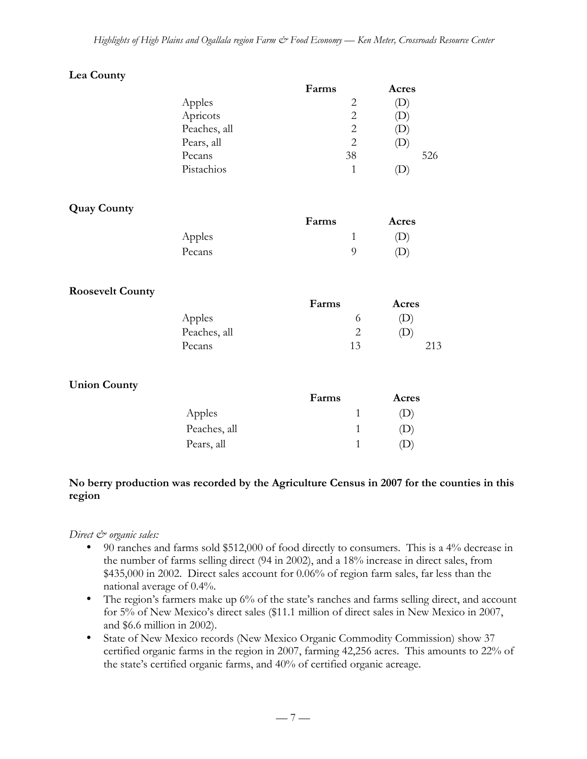| Lea County              |              |                |       |
|-------------------------|--------------|----------------|-------|
|                         |              | Farms          | Acres |
|                         | Apples       | $\mathbf{2}$   | (D)   |
|                         | Apricots     | $\overline{c}$ | (D)   |
|                         | Peaches, all | $\overline{2}$ | (D)   |
|                         | Pears, all   | $\overline{2}$ | (D)   |
|                         | Pecans       | 38             | 526   |
|                         | Pistachios   | $\mathbf{1}$   | (D)   |
| <b>Quay County</b>      |              |                |       |
|                         |              | Farms          | Acres |
|                         | Apples       | $\mathbf{1}$   | (D)   |
|                         | Pecans       | 9              | (D)   |
| <b>Roosevelt County</b> |              |                |       |
|                         |              | Farms          | Acres |
|                         | Apples       | 6              | (D)   |
|                         | Peaches, all | $\overline{2}$ | (D)   |
|                         | Pecans       | 13             | 213   |
| <b>Union County</b>     |              |                |       |
|                         |              | Farms          | Acres |
|                         | Apples       | $\mathbf{1}$   | (D)   |
|                         | Peaches, all | $\mathbf{1}$   | (D)   |
|                         | Pears, all   | $\mathbf{1}$   | (D)   |

## **No berry production was recorded by the Agriculture Census in 2007 for the counties in this region**

## *Direct*  $\mathcal{Q}$  organic sales:

90 ranches and farms sold \$512,000 of food directly to consumers. This is a 4% decrease in the number of farms selling direct (94 in 2002), and a 18% increase in direct sales, from \$435,000 in 2002. Direct sales account for 0.06% of region farm sales, far less than the national average of 0.4%.

The region's farmers make up 6% of the state's ranches and farms selling direct, and account for 5% of New Mexico's direct sales (\$11.1 million of direct sales in New Mexico in 2007, and \$6.6 million in 2002).

State of New Mexico records (New Mexico Organic Commodity Commission) show 37 certified organic farms in the region in 2007, farming 42,256 acres. This amounts to 22% of the state's certified organic farms, and 40% of certified organic acreage.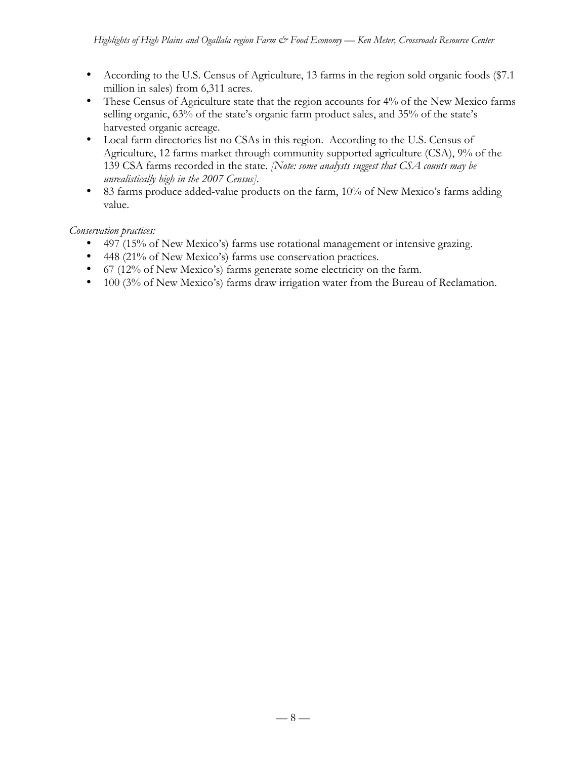According to the U.S. Census of Agriculture, 13 farms in the region sold organic foods (\$7.1 million in sales) from 6,311 acres.

These Census of Agriculture state that the region accounts for 4% of the New Mexico farms selling organic, 63% of the state's organic farm product sales, and 35% of the state's harvested organic acreage.

Local farm directories list no CSAs in this region. According to the U.S. Census of Agriculture, 12 farms market through community supported agriculture (CSA), 9% of the 139 CSA farms recorded in the state. *[Note: some analysts suggest that CSA counts may be unrealistically high in the 2007 Census].*

83 farms produce added-value products on the farm, 10% of New Mexico's farms adding value.

*Conservation practices:*

497 (15% of New Mexico's) farms use rotational management or intensive grazing. 448 (21% of New Mexico's) farms use conservation practices.

67 (12% of New Mexico's) farms generate some electricity on the farm.

100 (3% of New Mexico's) farms draw irrigation water from the Bureau of Reclamation.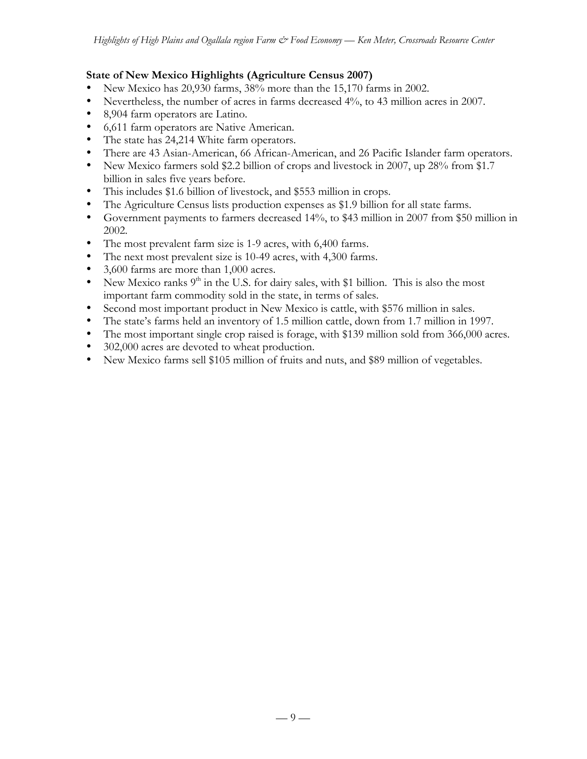## **State of New Mexico Highlights (Agriculture Census 2007)**

New Mexico has 20,930 farms, 38% more than the 15,170 farms in 2002.

Nevertheless, the number of acres in farms decreased 4%, to 43 million acres in 2007.

8,904 farm operators are Latino.

6,611 farm operators are Native American.

The state has 24,214 White farm operators.

There are 43 Asian-American, 66 African-American, and 26 Pacific Islander farm operators. New Mexico farmers sold \$2.2 billion of crops and livestock in 2007, up 28% from \$1.7 billion in sales five years before.

This includes \$1.6 billion of livestock, and \$553 million in crops.

The Agriculture Census lists production expenses as \$1.9 billion for all state farms.

Government payments to farmers decreased 14%, to \$43 million in 2007 from \$50 million in 2002.

The most prevalent farm size is 1-9 acres, with 6,400 farms.

The next most prevalent size is 10-49 acres, with 4,300 farms.

3,600 farms are more than 1,000 acres.

New Mexico ranks  $9<sup>th</sup>$  in the U.S. for dairy sales, with \$1 billion. This is also the most important farm commodity sold in the state, in terms of sales.

Second most important product in New Mexico is cattle, with \$576 million in sales.

The state's farms held an inventory of 1.5 million cattle, down from 1.7 million in 1997.

The most important single crop raised is forage, with \$139 million sold from 366,000 acres. 302,000 acres are devoted to wheat production.

New Mexico farms sell \$105 million of fruits and nuts, and \$89 million of vegetables.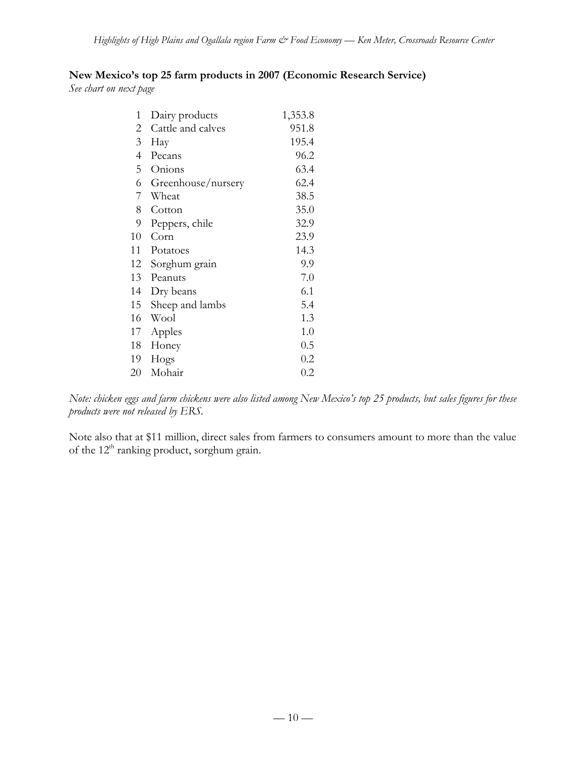## **New Mexico's top 25 farm products in 2007 (Economic Research Service)**

*See chart on next page*

| 1  | Dairy products     | 1,353.8 |
|----|--------------------|---------|
| 2  | Cattle and calves  | 951.8   |
| 3  | Hay                | 195.4   |
| 4  | Pecans             | 96.2    |
| 5  | Onions             | 63.4    |
| 6  | Greenhouse/nursery | 62.4    |
| 7  | Wheat              | 38.5    |
| 8  | Cotton             | 35.0    |
| 9  | Peppers, chile     | 32.9    |
| 10 | Corn               | 23.9    |
| 11 | Potatoes           | 14.3    |
| 12 | Sorghum grain      | 9.9     |
| 13 | Peanuts            | 7.0     |
| 14 | Dry beans          | 6.1     |
| 15 | Sheep and lambs    | 5.4     |
| 16 | Wool               | 1.3     |
| 17 | Apples             | 1.0     |
| 18 | Honey              | 0.5     |
| 19 | Hogs               | 0.2     |
| 20 | Mohair             | 0.2     |

*Note: chicken eggs and farm chickens were also listed among New Mexico's top 25 products, but sales figures for these products were not released by ERS.*

Note also that at \$11 million, direct sales from farmers to consumers amount to more than the value of the 12<sup>th</sup> ranking product, sorghum grain.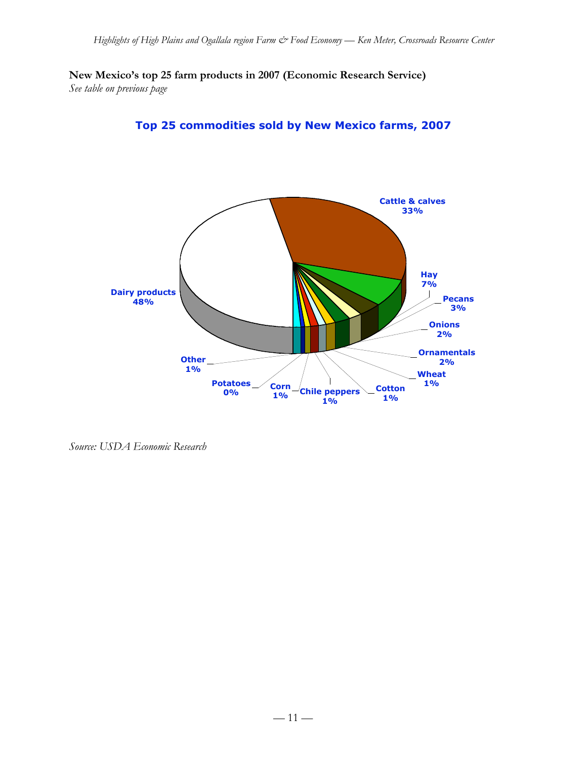**New Mexico's top 25 farm products in 2007 (Economic Research Service)** *See table on previous page*





*Source: USDA Economic Research*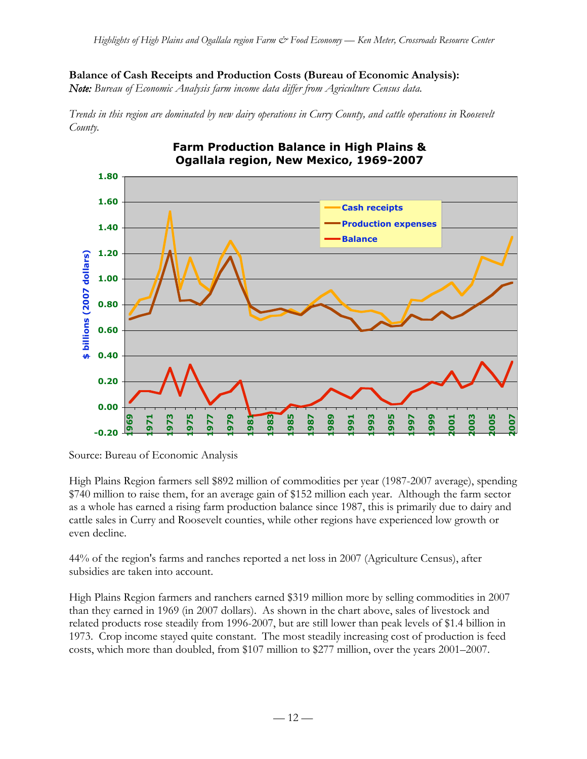#### **Balance of Cash Receipts and Production Costs (Bureau of Economic Analysis):**

*Note: Bureau of Economic Analysis farm income data differ from Agriculture Census data.*

*Trends in this region are dominated by new dairy operations in Curry County, and cattle operations in Roosevelt County.*



# **Farm Production Balance in High Plains &**

High Plains Region farmers sell \$892 million of commodities per year (1987-2007 average), spending \$740 million to raise them, for an average gain of \$152 million each year. Although the farm sector as a whole has earned a rising farm production balance since 1987, this is primarily due to dairy and cattle sales in Curry and Roosevelt counties, while other regions have experienced low growth or even decline.

44% of the region's farms and ranches reported a net loss in 2007 (Agriculture Census), after subsidies are taken into account.

High Plains Region farmers and ranchers earned \$319 million more by selling commodities in 2007 than they earned in 1969 (in 2007 dollars). As shown in the chart above, sales of livestock and related products rose steadily from 1996-2007, but are still lower than peak levels of \$1.4 billion in 1973. Crop income stayed quite constant. The most steadily increasing cost of production is feed costs, which more than doubled, from \$107 million to \$277 million, over the years 2001–2007.

Source: Bureau of Economic Analysis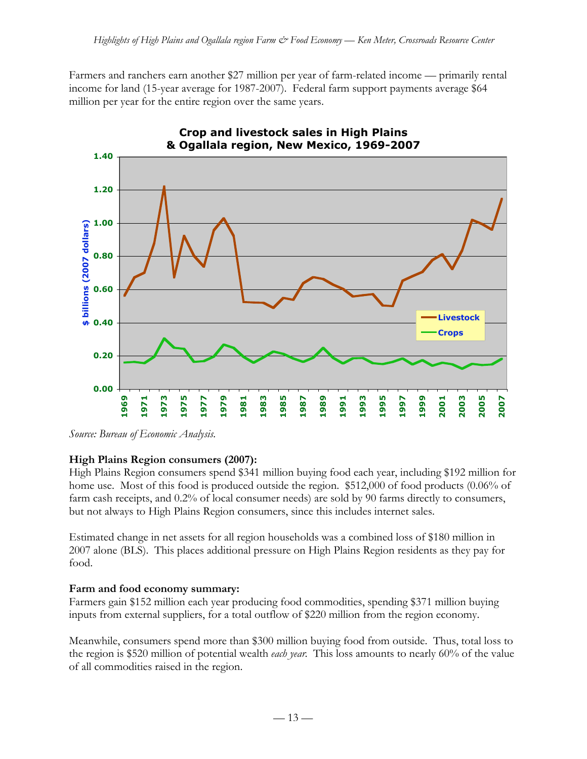Farmers and ranchers earn another \$27 million per year of farm-related income — primarily rental income for land (15-year average for 1987-2007). Federal farm support payments average \$64 million per year for the entire region over the same years.



*Source: Bureau of Economic Analysis.*

## **High Plains Region consumers (2007):**

High Plains Region consumers spend \$341 million buying food each year, including \$192 million for home use. Most of this food is produced outside the region. \$512,000 of food products (0.06% of farm cash receipts, and 0.2% of local consumer needs) are sold by 90 farms directly to consumers, but not always to High Plains Region consumers, since this includes internet sales.

Estimated change in net assets for all region households was a combined loss of \$180 million in 2007 alone (BLS). This places additional pressure on High Plains Region residents as they pay for food.

## **Farm and food economy summary:**

Farmers gain \$152 million each year producing food commodities, spending \$371 million buying inputs from external suppliers, for a total outflow of \$220 million from the region economy.

Meanwhile, consumers spend more than \$300 million buying food from outside. Thus, total loss to the region is \$520 million of potential wealth *each year*. This loss amounts to nearly 60% of the value of all commodities raised in the region.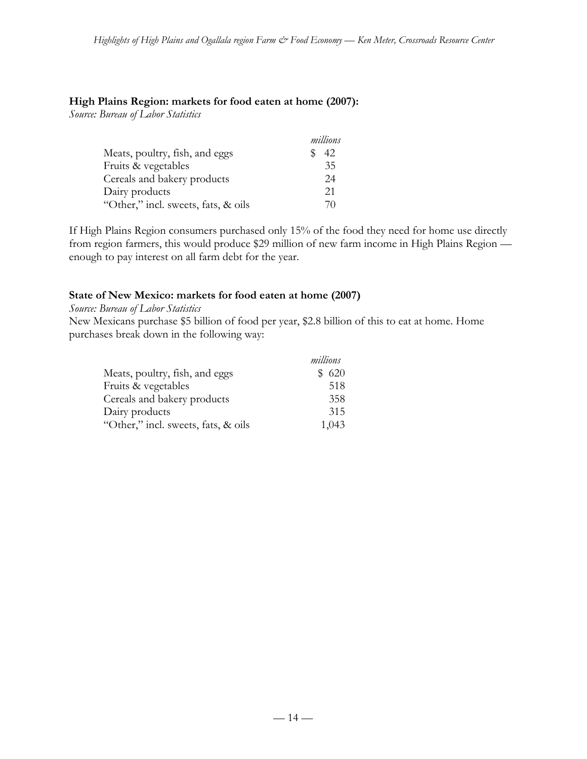#### **High Plains Region: markets for food eaten at home (2007):**

*Source: Bureau of Labor Statistics*

|                                     | millions |
|-------------------------------------|----------|
| Meats, poultry, fish, and eggs      | 42       |
| Fruits & vegetables                 | 35       |
| Cereals and bakery products         | 24       |
| Dairy products                      | 21       |
| "Other," incl. sweets, fats, & oils | 70       |

If High Plains Region consumers purchased only 15% of the food they need for home use directly from region farmers, this would produce \$29 million of new farm income in High Plains Region enough to pay interest on all farm debt for the year.

## **State of New Mexico: markets for food eaten at home (2007)**

*Source: Bureau of Labor Statistics*

New Mexicans purchase \$5 billion of food per year, \$2.8 billion of this to eat at home. Home purchases break down in the following way:

|                                     | millions |
|-------------------------------------|----------|
| Meats, poultry, fish, and eggs      | \$620    |
| Fruits & vegetables                 | 518      |
| Cereals and bakery products         | 358      |
| Dairy products                      | 315      |
| "Other," incl. sweets, fats, & oils | 1,043    |